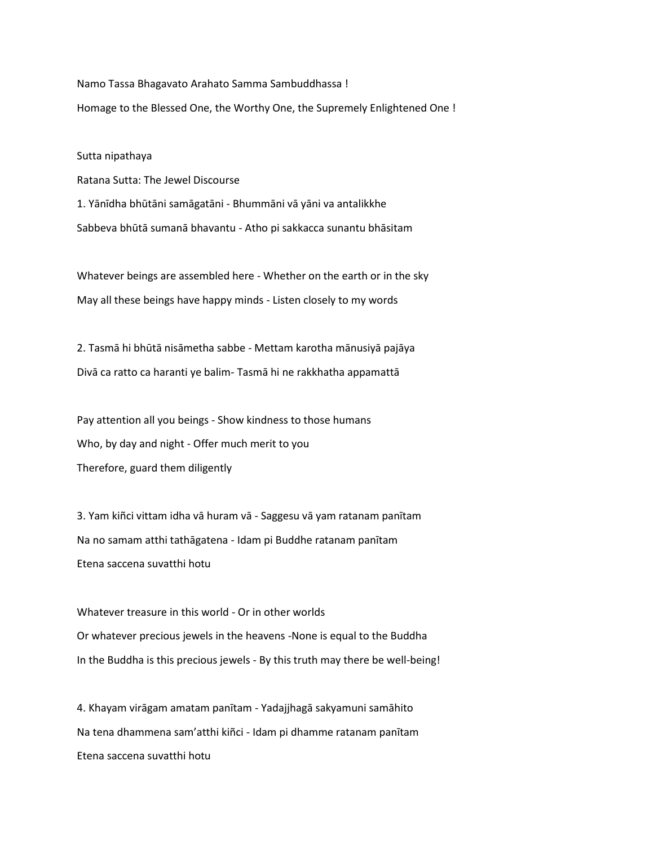Namo Tassa Bhagavato Arahato Samma Sambuddhassa ! Homage to the Blessed One, the Worthy One, the Supremely Enlightened One !

Sutta nipathaya Ratana Sutta: The Jewel Discourse

1. Yānīdha bhūtāni samāgatāni - Bhummāni vā yāni va antalikkhe Sabbeva bhūtā sumanā bhavantu - Atho pi sakkacca sunantu bhāsitam

Whatever beings are assembled here - Whether on the earth or in the sky May all these beings have happy minds - Listen closely to my words

2. Tasmā hi bhūtā nisāmetha sabbe - Mettam karotha mānusiyā pajāya Divā ca ratto ca haranti ye balim- Tasmā hi ne rakkhatha appamattā

Pay attention all you beings - Show kindness to those humans Who, by day and night - Offer much merit to you Therefore, guard them diligently

3. Yam kiñci vittam idha vā huram vā - Saggesu vā yam ratanam panītam Na no samam atthi tathāgatena - Idam pi Buddhe ratanam panītam Etena saccena suvatthi hotu

Whatever treasure in this world - Or in other worlds Or whatever precious jewels in the heavens -None is equal to the Buddha In the Buddha is this precious jewels - By this truth may there be well-being!

4. Khayam virāgam amatam panītam - Yadajjhagā sakyamuni samāhito Na tena dhammena sam'atthi kiñci - Idam pi dhamme ratanam panītam Etena saccena suvatthi hotu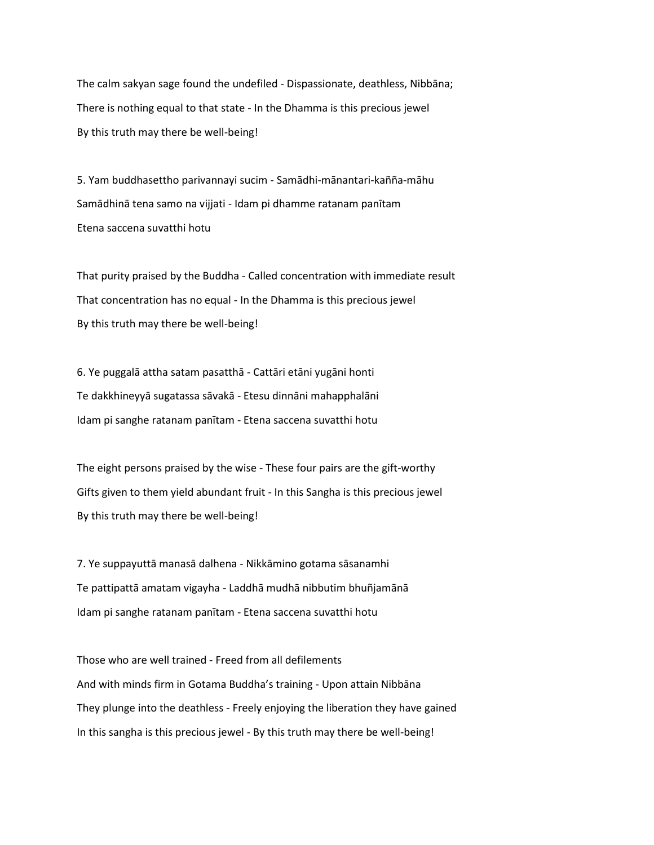The calm sakyan sage found the undefiled - Dispassionate, deathless, Nibbāna; There is nothing equal to that state - In the Dhamma is this precious jewel By this truth may there be well-being!

5. Yam buddhasettho parivannayi sucim - Samādhi-mānantari-kañña-māhu Samādhinā tena samo na vijjati - Idam pi dhamme ratanam panītam Etena saccena suvatthi hotu

That purity praised by the Buddha - Called concentration with immediate result That concentration has no equal - In the Dhamma is this precious jewel By this truth may there be well-being!

6. Ye puggalā attha satam pasatthā - Cattāri etāni yugāni honti Te dakkhineyyā sugatassa sāvakā - Etesu dinnāni mahapphalāni Idam pi sanghe ratanam panītam - Etena saccena suvatthi hotu

The eight persons praised by the wise - These four pairs are the gift-worthy Gifts given to them yield abundant fruit - In this Sangha is this precious jewel By this truth may there be well-being!

7. Ye suppayuttā manasā dalhena - Nikkāmino gotama sāsanamhi Te pattipattā amatam vigayha - Laddhā mudhā nibbutim bhuñjamānā Idam pi sanghe ratanam panītam - Etena saccena suvatthi hotu

Those who are well trained - Freed from all defilements And with minds firm in Gotama Buddha's training - Upon attain Nibbāna They plunge into the deathless - Freely enjoying the liberation they have gained In this sangha is this precious jewel - By this truth may there be well-being!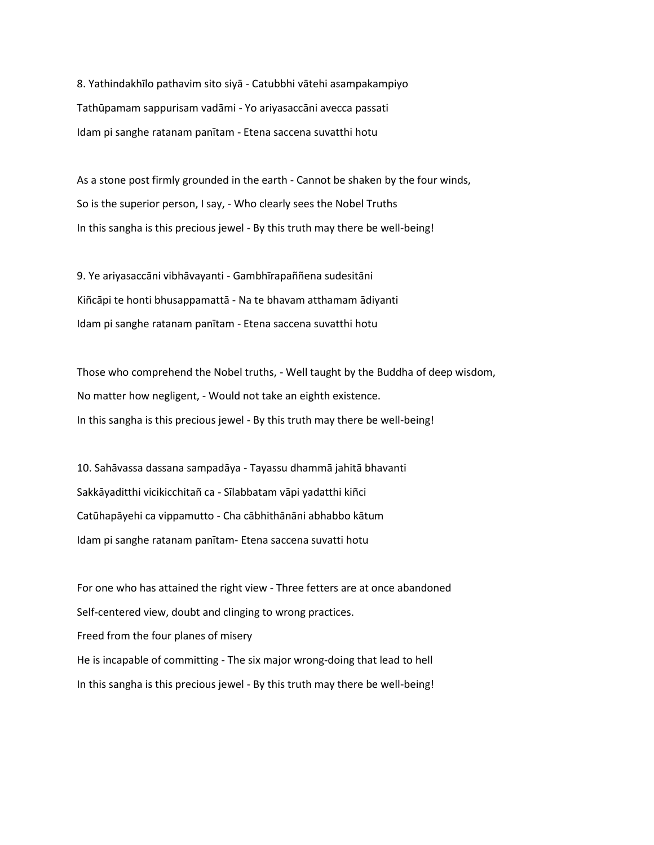8. Yathindakhīlo pathavim sito siyā - Catubbhi vātehi asampakampiyo Tathūpamam sappurisam vadāmi - Yo ariyasaccāni avecca passati Idam pi sanghe ratanam panītam - Etena saccena suvatthi hotu

As a stone post firmly grounded in the earth - Cannot be shaken by the four winds, So is the superior person, I say, - Who clearly sees the Nobel Truths In this sangha is this precious jewel - By this truth may there be well-being!

9. Ye ariyasaccāni vibhāvayanti - Gambhīrapaññena sudesitāni Kiñcāpi te honti bhusappamattā - Na te bhavam atthamam ādiyanti Idam pi sanghe ratanam panītam - Etena saccena suvatthi hotu

Those who comprehend the Nobel truths, - Well taught by the Buddha of deep wisdom, No matter how negligent, - Would not take an eighth existence. In this sangha is this precious jewel - By this truth may there be well-being!

10. Sahāvassa dassana sampadāya - Tayassu dhammā jahitā bhavanti Sakkāyaditthi vicikicchitañ ca - Sīlabbatam vāpi yadatthi kiñci Catūhapāyehi ca vippamutto - Cha cābhithānāni abhabbo kātum Idam pi sanghe ratanam panītam- Etena saccena suvatti hotu

For one who has attained the right view - Three fetters are at once abandoned Self-centered view, doubt and clinging to wrong practices. Freed from the four planes of misery He is incapable of committing - The six major wrong-doing that lead to hell In this sangha is this precious jewel - By this truth may there be well-being!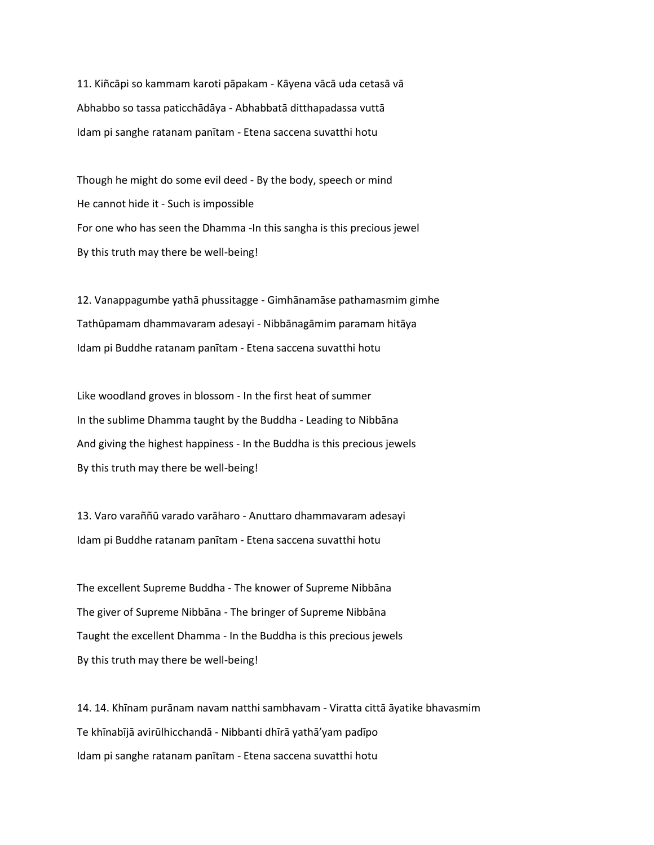11. Kiñcāpi so kammam karoti pāpakam - Kāyena vācā uda cetasā vā Abhabbo so tassa paticchādāya - Abhabbatā ditthapadassa vuttā Idam pi sanghe ratanam panītam - Etena saccena suvatthi hotu

Though he might do some evil deed - By the body, speech or mind He cannot hide it - Such is impossible For one who has seen the Dhamma -In this sangha is this precious jewel By this truth may there be well-being!

12. Vanappagumbe yathā phussitagge - Gimhānamāse pathamasmim gimhe Tathūpamam dhammavaram adesayi - Nibbānagāmim paramam hitāya Idam pi Buddhe ratanam panītam - Etena saccena suvatthi hotu

Like woodland groves in blossom - In the first heat of summer In the sublime Dhamma taught by the Buddha - Leading to Nibbāna And giving the highest happiness - In the Buddha is this precious jewels By this truth may there be well-being!

13. Varo varaññū varado varāharo - Anuttaro dhammavaram adesayi Idam pi Buddhe ratanam panītam - Etena saccena suvatthi hotu

The excellent Supreme Buddha - The knower of Supreme Nibbāna The giver of Supreme Nibbāna - The bringer of Supreme Nibbāna Taught the excellent Dhamma - In the Buddha is this precious jewels By this truth may there be well-being!

14. 14. Khīnam purānam navam natthi sambhavam - Viratta cittā āyatike bhavasmim Te khīnabījā avirūlhicchandā - Nibbanti dhīrā yathā'yam padīpo Idam pi sanghe ratanam panītam - Etena saccena suvatthi hotu